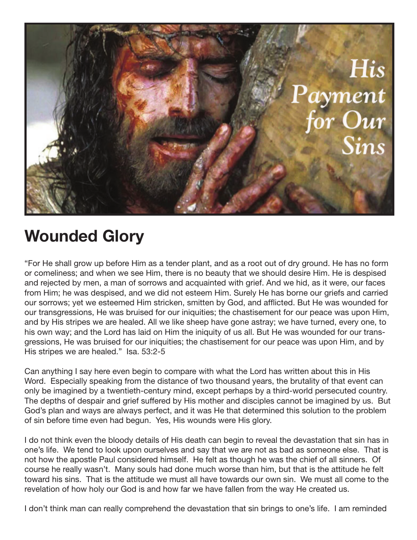

## **Wounded Glory**

"For He shall grow up before Him as a tender plant, and as a root out of dry ground. He has no form or comeliness; and when we see Him, there is no beauty that we should desire Him. He is despised and rejected by men, a man of sorrows and acquainted with grief. And we hid, as it were, our faces from Him; he was despised, and we did not esteem Him. Surely He has borne our griefs and carried our sorrows; yet we esteemed Him stricken, smitten by God, and afflicted. But He was wounded for our transgressions, He was bruised for our iniquities; the chastisement for our peace was upon Him, and by His stripes we are healed. All we like sheep have gone astray; we have turned, every one, to his own way; and the Lord has laid on Him the iniquity of us all. But He was wounded for our transgressions, He was bruised for our iniquities; the chastisement for our peace was upon Him, and by His stripes we are healed." Isa. 53:2-5

Can anything I say here even begin to compare with what the Lord has written about this in His Word. Especially speaking from the distance of two thousand years, the brutality of that event can only be imagined by a twentieth-century mind, except perhaps by a third-world persecuted country. The depths of despair and grief suffered by His mother and disciples cannot be imagined by us. But God's plan and ways are always perfect, and it was He that determined this solution to the problem of sin before time even had begun. Yes, His wounds were His glory.

I do not think even the bloody details of His death can begin to reveal the devastation that sin has in one's life. We tend to look upon ourselves and say that we are not as bad as someone else. That is not how the apostle Paul considered himself. He felt as though he was the chief of all sinners. Of course he really wasn't. Many souls had done much worse than him, but that is the attitude he felt toward his sins. That is the attitude we must all have towards our own sin. We must all come to the revelation of how holy our God is and how far we have fallen from the way He created us.

I don't think man can really comprehend the devastation that sin brings to one's life. I am reminded